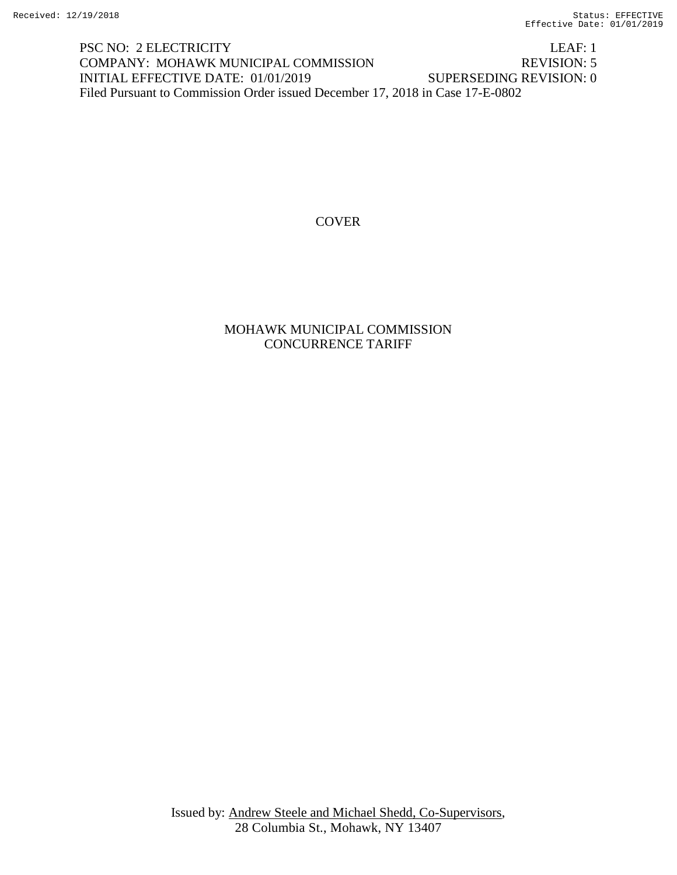PSC NO: 2 ELECTRICITY LEAF: 1 COMPANY: MOHAWK MUNICIPAL COMMISSION REVISION: 5 INITIAL EFFECTIVE DATE: 01/01/2019 SUPERSEDING REVISION: 0 Filed Pursuant to Commission Order issued December 17, 2018 in Case 17-E-0802

### COVER

#### MOHAWK MUNICIPAL COMMISSION CONCURRENCE TARIFF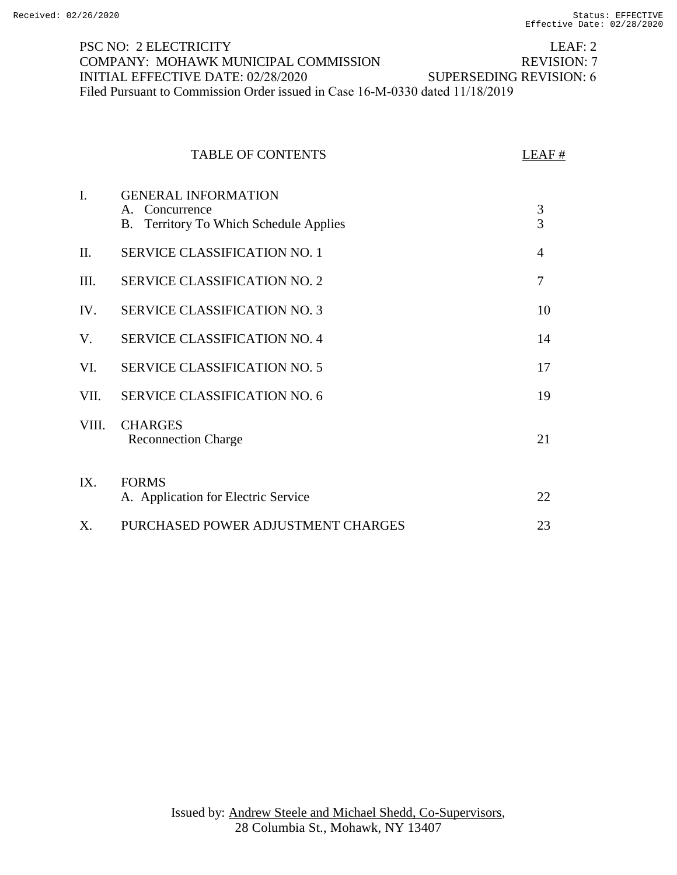#### LEAF: 2 REVISION: 7 PSC NO: 2 ELECTRICITY COMPANY: MOHAWK MUNICIPAL COMMISSION INITIAL EFFECTIVE DATE: 02/28/2020 SUPERSEDING REVISION: 6 Filed Pursuant to Commission Order issued in Case 16-M-0330 dated 11/18/2019

|       | <b>TABLE OF CONTENTS</b>                                                               | LEAF#          |
|-------|----------------------------------------------------------------------------------------|----------------|
| I.    | <b>GENERAL INFORMATION</b><br>A. Concurrence<br>B. Territory To Which Schedule Applies | 3<br>3         |
| Π.    | SERVICE CLASSIFICATION NO. 1                                                           | $\overline{4}$ |
| III.  | <b>SERVICE CLASSIFICATION NO. 2</b>                                                    | 7              |
| IV.   | <b>SERVICE CLASSIFICATION NO. 3</b>                                                    | 10             |
| V.    | <b>SERVICE CLASSIFICATION NO. 4</b>                                                    | 14             |
| VI.   | <b>SERVICE CLASSIFICATION NO. 5</b>                                                    | 17             |
| VII.  | <b>SERVICE CLASSIFICATION NO. 6</b>                                                    | 19             |
| VIII. | <b>CHARGES</b><br><b>Reconnection Charge</b>                                           | 21             |
| IX.   | <b>FORMS</b><br>A. Application for Electric Service                                    | 22             |
| X.    | PURCHASED POWER ADJUSTMENT CHARGES                                                     | 23             |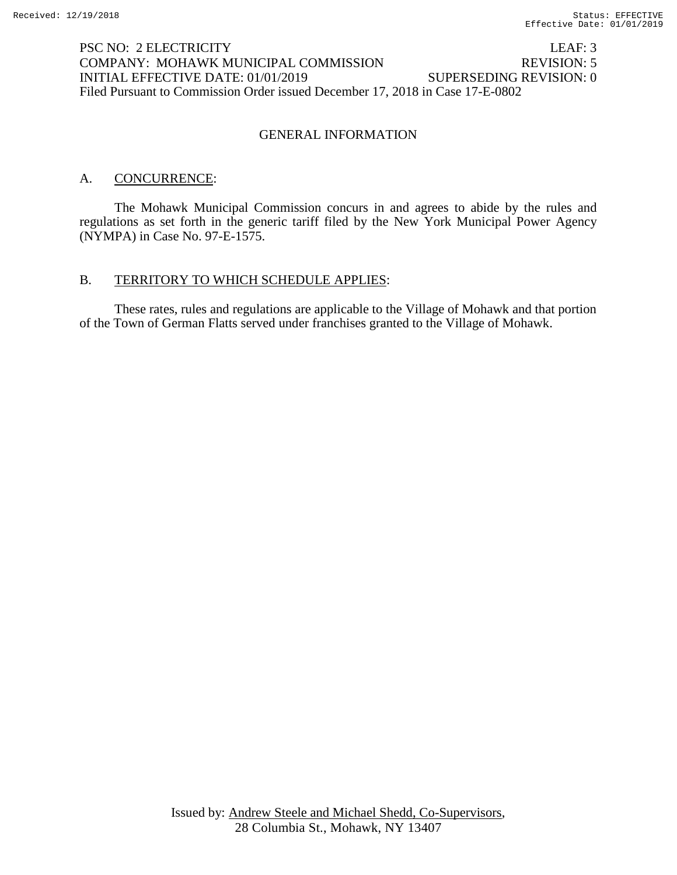## PSC NO: 2 ELECTRICITY LEAF: 3 COMPANY: MOHAWK MUNICIPAL COMMISSION REVISION: 5 INITIAL EFFECTIVE DATE: 01/01/2019 SUPERSEDING REVISION: 0 Filed Pursuant to Commission Order issued December 17, 2018 in Case 17-E-0802

### GENERAL INFORMATION

### A. CONCURRENCE:

The Mohawk Municipal Commission concurs in and agrees to abide by the rules and regulations as set forth in the generic tariff filed by the New York Municipal Power Agency (NYMPA) in Case No. 97-E-1575.

### B. TERRITORY TO WHICH SCHEDULE APPLIES:

These rates, rules and regulations are applicable to the Village of Mohawk and that portion of the Town of German Flatts served under franchises granted to the Village of Mohawk.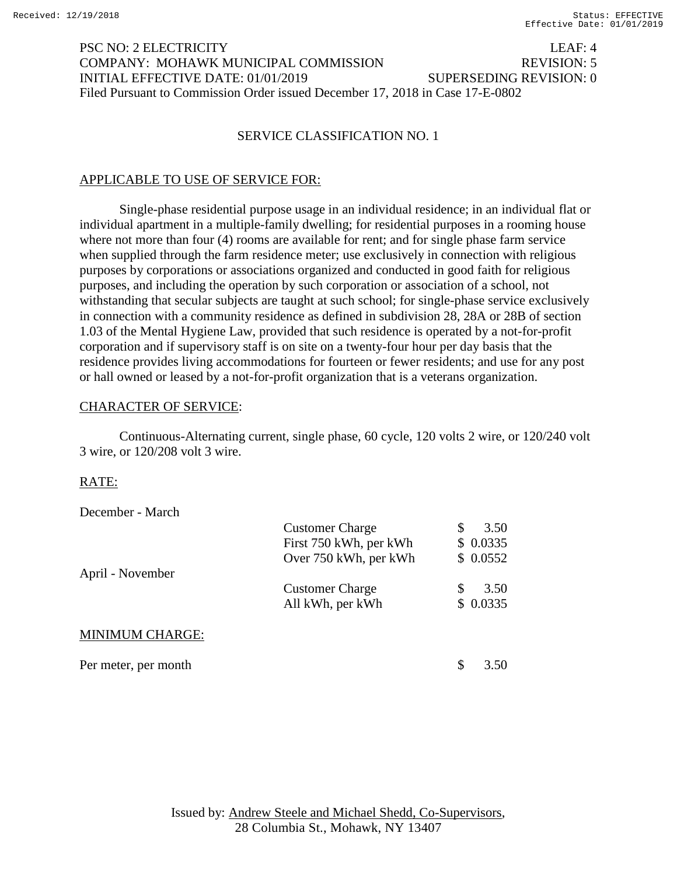## PSC NO: 2 ELECTRICITY LEAF: 4 COMPANY: MOHAWK MUNICIPAL COMMISSION REVISION: 5 INITIAL EFFECTIVE DATE: 01/01/2019 SUPERSEDING REVISION: 0 Filed Pursuant to Commission Order issued December 17, 2018 in Case 17-E-0802

#### SERVICE CLASSIFICATION NO. 1

#### APPLICABLE TO USE OF SERVICE FOR:

Single-phase residential purpose usage in an individual residence; in an individual flat or individual apartment in a multiple-family dwelling; for residential purposes in a rooming house where not more than four (4) rooms are available for rent; and for single phase farm service when supplied through the farm residence meter; use exclusively in connection with religious purposes by corporations or associations organized and conducted in good faith for religious purposes, and including the operation by such corporation or association of a school, not withstanding that secular subjects are taught at such school; for single-phase service exclusively in connection with a community residence as defined in subdivision 28, 28A or 28B of section 1.03 of the Mental Hygiene Law, provided that such residence is operated by a not-for-profit corporation and if supervisory staff is on site on a twenty-four hour per day basis that the residence provides living accommodations for fourteen or fewer residents; and use for any post or hall owned or leased by a not-for-profit organization that is a veterans organization.

#### CHARACTER OF SERVICE:

Continuous-Alternating current, single phase, 60 cycle, 120 volts 2 wire, or 120/240 volt 3 wire, or 120/208 volt 3 wire.

### RATE:

December - March

|                        | <b>Customer Charge</b> |   | 3.50     |
|------------------------|------------------------|---|----------|
|                        | First 750 kWh, per kWh |   | \$0.0335 |
|                        | Over 750 kWh, per kWh  |   | \$0.0552 |
| April - November       |                        |   |          |
|                        | <b>Customer Charge</b> | S | 3.50     |
|                        | All kWh, per kWh       |   | \$0.0335 |
|                        |                        |   |          |
| <b>MINIMUM CHARGE:</b> |                        |   |          |
|                        |                        |   |          |
| Per meter, per month   |                        | S | 3.50     |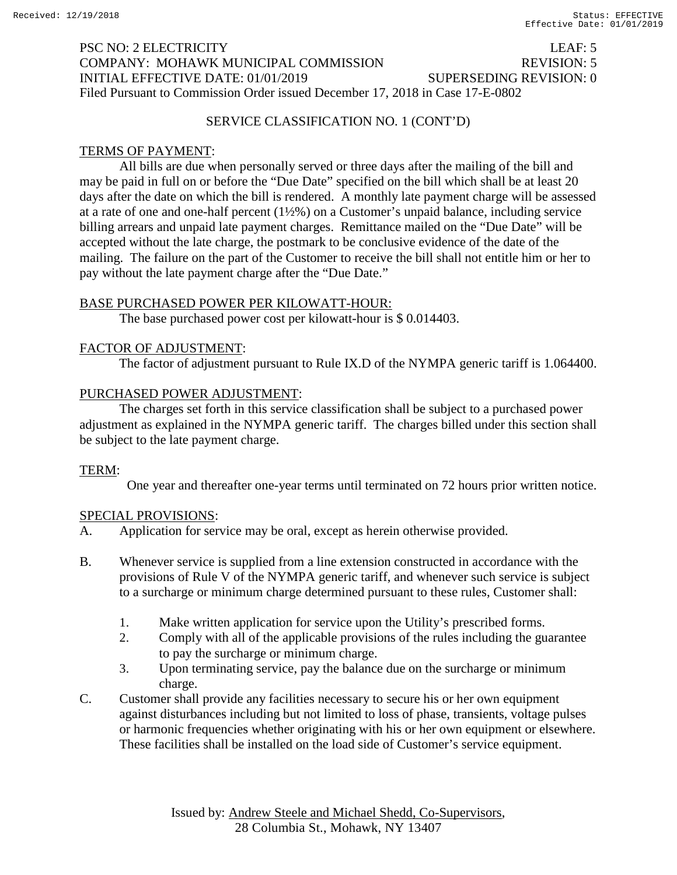# PSC NO: 2 ELECTRICITY LEAF: 5 COMPANY: MOHAWK MUNICIPAL COMMISSION REVISION: 5 INITIAL EFFECTIVE DATE: 01/01/2019 SUPERSEDING REVISION: 0 Filed Pursuant to Commission Order issued December 17, 2018 in Case 17-E-0802

### SERVICE CLASSIFICATION NO. 1 (CONT'D)

## TERMS OF PAYMENT:

All bills are due when personally served or three days after the mailing of the bill and may be paid in full on or before the "Due Date" specified on the bill which shall be at least 20 days after the date on which the bill is rendered. A monthly late payment charge will be assessed at a rate of one and one-half percent (1½%) on a Customer's unpaid balance, including service billing arrears and unpaid late payment charges. Remittance mailed on the "Due Date" will be accepted without the late charge, the postmark to be conclusive evidence of the date of the mailing. The failure on the part of the Customer to receive the bill shall not entitle him or her to pay without the late payment charge after the "Due Date."

## BASE PURCHASED POWER PER KILOWATT-HOUR:

The base purchased power cost per kilowatt-hour is \$ 0.014403.

#### FACTOR OF ADJUSTMENT:

The factor of adjustment pursuant to Rule IX.D of the NYMPA generic tariff is 1.064400.

### PURCHASED POWER ADJUSTMENT:

The charges set forth in this service classification shall be subject to a purchased power adjustment as explained in the NYMPA generic tariff. The charges billed under this section shall be subject to the late payment charge.

### TERM:

One year and thereafter one-year terms until terminated on 72 hours prior written notice.

- A. Application for service may be oral, except as herein otherwise provided.
- B. Whenever service is supplied from a line extension constructed in accordance with the provisions of Rule V of the NYMPA generic tariff, and whenever such service is subject to a surcharge or minimum charge determined pursuant to these rules, Customer shall:
	- 1. Make written application for service upon the Utility's prescribed forms.
	- 2. Comply with all of the applicable provisions of the rules including the guarantee to pay the surcharge or minimum charge.
	- 3. Upon terminating service, pay the balance due on the surcharge or minimum charge.
- C. Customer shall provide any facilities necessary to secure his or her own equipment against disturbances including but not limited to loss of phase, transients, voltage pulses or harmonic frequencies whether originating with his or her own equipment or elsewhere. These facilities shall be installed on the load side of Customer's service equipment.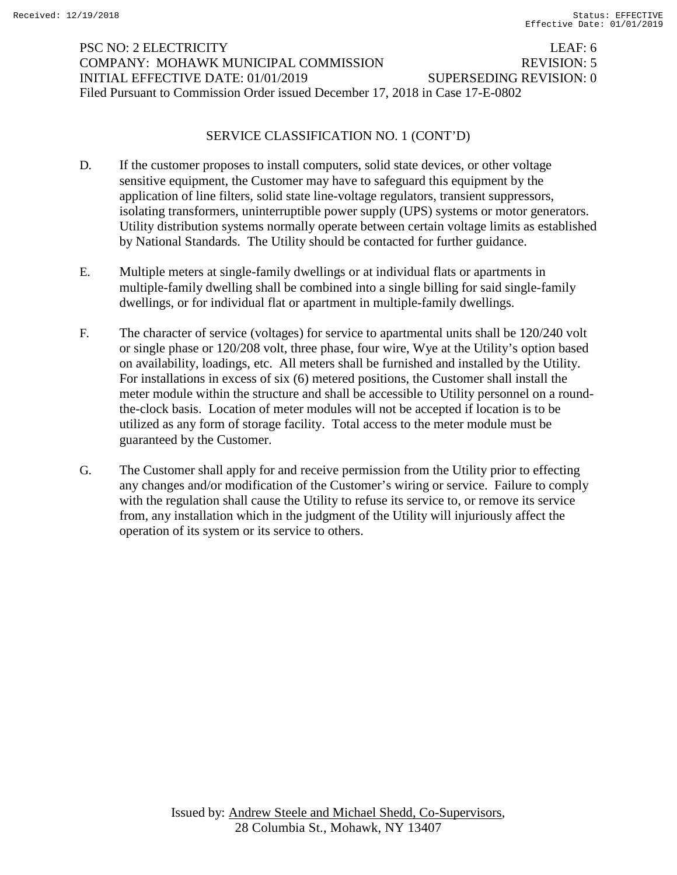# PSC NO: 2 ELECTRICITY LEAF: 6 COMPANY: MOHAWK MUNICIPAL COMMISSION REVISION: 5 INITIAL EFFECTIVE DATE: 01/01/2019 SUPERSEDING REVISION: 0 Filed Pursuant to Commission Order issued December 17, 2018 in Case 17-E-0802

### SERVICE CLASSIFICATION NO. 1 (CONT'D)

- D. If the customer proposes to install computers, solid state devices, or other voltage sensitive equipment, the Customer may have to safeguard this equipment by the application of line filters, solid state line-voltage regulators, transient suppressors, isolating transformers, uninterruptible power supply (UPS) systems or motor generators. Utility distribution systems normally operate between certain voltage limits as established by National Standards. The Utility should be contacted for further guidance.
- E. Multiple meters at single-family dwellings or at individual flats or apartments in multiple-family dwelling shall be combined into a single billing for said single-family dwellings, or for individual flat or apartment in multiple-family dwellings.
- F. The character of service (voltages) for service to apartmental units shall be 120/240 volt or single phase or 120/208 volt, three phase, four wire, Wye at the Utility's option based on availability, loadings, etc. All meters shall be furnished and installed by the Utility. For installations in excess of six (6) metered positions, the Customer shall install the meter module within the structure and shall be accessible to Utility personnel on a roundthe-clock basis. Location of meter modules will not be accepted if location is to be utilized as any form of storage facility. Total access to the meter module must be guaranteed by the Customer.
- G. The Customer shall apply for and receive permission from the Utility prior to effecting any changes and/or modification of the Customer's wiring or service. Failure to comply with the regulation shall cause the Utility to refuse its service to, or remove its service from, any installation which in the judgment of the Utility will injuriously affect the operation of its system or its service to others.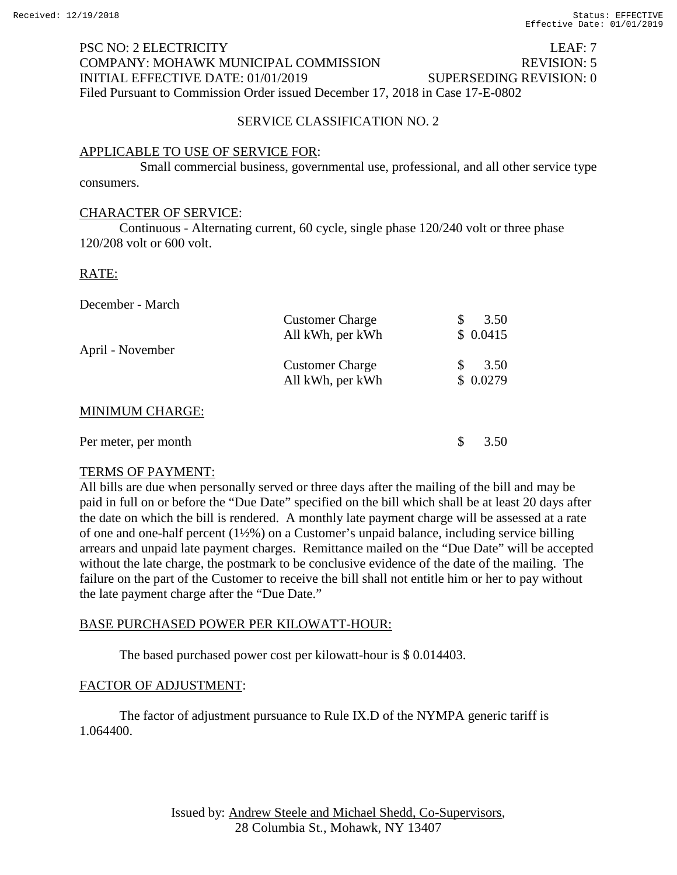## PSC NO: 2 ELECTRICITY LEAF: 7 COMPANY: MOHAWK MUNICIPAL COMMISSION REVISION: 5 INITIAL EFFECTIVE DATE: 01/01/2019 SUPERSEDING REVISION: 0 Filed Pursuant to Commission Order issued December 17, 2018 in Case 17-E-0802

## SERVICE CLASSIFICATION NO. 2

## APPLICABLE TO USE OF SERVICE FOR:

Small commercial business, governmental use, professional, and all other service type consumers.

### CHARACTER OF SERVICE:

Continuous - Alternating current, 60 cycle, single phase 120/240 volt or three phase 120/208 volt or 600 volt.

### RATE:

December - March

|                        | <b>Customer Charge</b> | 3.50     |
|------------------------|------------------------|----------|
|                        | All kWh, per kWh       | \$0.0415 |
| April - November       |                        |          |
|                        | <b>Customer Charge</b> | 3.50     |
|                        | All kWh, per kWh       | \$0.0279 |
|                        |                        |          |
| <b>MINIMUM CHARGE:</b> |                        |          |
|                        |                        |          |

| Per meter, per month | \$3.50 |
|----------------------|--------|
|                      |        |

### TERMS OF PAYMENT:

All bills are due when personally served or three days after the mailing of the bill and may be paid in full on or before the "Due Date" specified on the bill which shall be at least 20 days after the date on which the bill is rendered. A monthly late payment charge will be assessed at a rate of one and one-half percent (1½%) on a Customer's unpaid balance, including service billing arrears and unpaid late payment charges. Remittance mailed on the "Due Date" will be accepted without the late charge, the postmark to be conclusive evidence of the date of the mailing. The failure on the part of the Customer to receive the bill shall not entitle him or her to pay without the late payment charge after the "Due Date."

### BASE PURCHASED POWER PER KILOWATT-HOUR:

The based purchased power cost per kilowatt-hour is \$ 0.014403.

### FACTOR OF ADJUSTMENT:

The factor of adjustment pursuance to Rule IX.D of the NYMPA generic tariff is 1.064400.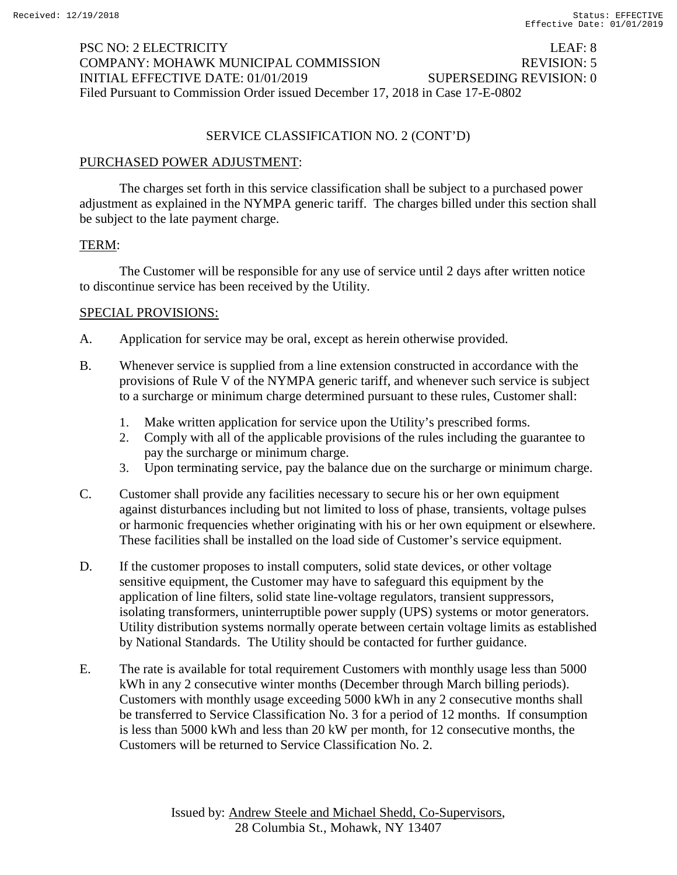## PSC NO: 2 ELECTRICITY LEAF: 8 COMPANY: MOHAWK MUNICIPAL COMMISSION REVISION: 5 INITIAL EFFECTIVE DATE: 01/01/2019 SUPERSEDING REVISION: 0 Filed Pursuant to Commission Order issued December 17, 2018 in Case 17-E-0802

#### SERVICE CLASSIFICATION NO. 2 (CONT'D)

#### PURCHASED POWER ADJUSTMENT:

The charges set forth in this service classification shall be subject to a purchased power adjustment as explained in the NYMPA generic tariff. The charges billed under this section shall be subject to the late payment charge.

#### TERM:

The Customer will be responsible for any use of service until 2 days after written notice to discontinue service has been received by the Utility.

- A. Application for service may be oral, except as herein otherwise provided.
- B. Whenever service is supplied from a line extension constructed in accordance with the provisions of Rule V of the NYMPA generic tariff, and whenever such service is subject to a surcharge or minimum charge determined pursuant to these rules, Customer shall:
	- 1. Make written application for service upon the Utility's prescribed forms.
	- 2. Comply with all of the applicable provisions of the rules including the guarantee to pay the surcharge or minimum charge.
	- 3. Upon terminating service, pay the balance due on the surcharge or minimum charge.
- C. Customer shall provide any facilities necessary to secure his or her own equipment against disturbances including but not limited to loss of phase, transients, voltage pulses or harmonic frequencies whether originating with his or her own equipment or elsewhere. These facilities shall be installed on the load side of Customer's service equipment.
- D. If the customer proposes to install computers, solid state devices, or other voltage sensitive equipment, the Customer may have to safeguard this equipment by the application of line filters, solid state line-voltage regulators, transient suppressors, isolating transformers, uninterruptible power supply (UPS) systems or motor generators. Utility distribution systems normally operate between certain voltage limits as established by National Standards. The Utility should be contacted for further guidance.
- E. The rate is available for total requirement Customers with monthly usage less than 5000 kWh in any 2 consecutive winter months (December through March billing periods). Customers with monthly usage exceeding 5000 kWh in any 2 consecutive months shall be transferred to Service Classification No. 3 for a period of 12 months. If consumption is less than 5000 kWh and less than 20 kW per month, for 12 consecutive months, the Customers will be returned to Service Classification No. 2.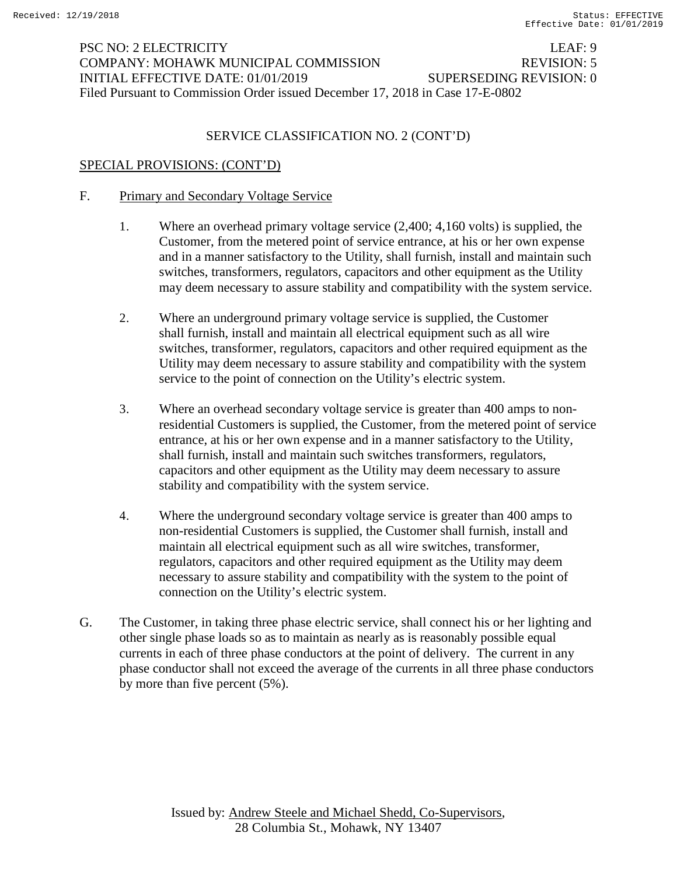## PSC NO: 2 ELECTRICITY LEAF: 9 COMPANY: MOHAWK MUNICIPAL COMMISSION REVISION: 5 INITIAL EFFECTIVE DATE: 01/01/2019 SUPERSEDING REVISION: 0 Filed Pursuant to Commission Order issued December 17, 2018 in Case 17-E-0802

### SERVICE CLASSIFICATION NO. 2 (CONT'D)

### SPECIAL PROVISIONS: (CONT'D)

#### F. Primary and Secondary Voltage Service

- 1. Where an overhead primary voltage service (2,400; 4,160 volts) is supplied, the Customer, from the metered point of service entrance, at his or her own expense and in a manner satisfactory to the Utility, shall furnish, install and maintain such switches, transformers, regulators, capacitors and other equipment as the Utility may deem necessary to assure stability and compatibility with the system service.
- 2. Where an underground primary voltage service is supplied, the Customer shall furnish, install and maintain all electrical equipment such as all wire switches, transformer, regulators, capacitors and other required equipment as the Utility may deem necessary to assure stability and compatibility with the system service to the point of connection on the Utility's electric system.
- 3. Where an overhead secondary voltage service is greater than 400 amps to nonresidential Customers is supplied, the Customer, from the metered point of service entrance, at his or her own expense and in a manner satisfactory to the Utility, shall furnish, install and maintain such switches transformers, regulators, capacitors and other equipment as the Utility may deem necessary to assure stability and compatibility with the system service.
- 4. Where the underground secondary voltage service is greater than 400 amps to non-residential Customers is supplied, the Customer shall furnish, install and maintain all electrical equipment such as all wire switches, transformer, regulators, capacitors and other required equipment as the Utility may deem necessary to assure stability and compatibility with the system to the point of connection on the Utility's electric system.
- G. The Customer, in taking three phase electric service, shall connect his or her lighting and other single phase loads so as to maintain as nearly as is reasonably possible equal currents in each of three phase conductors at the point of delivery. The current in any phase conductor shall not exceed the average of the currents in all three phase conductors by more than five percent (5%).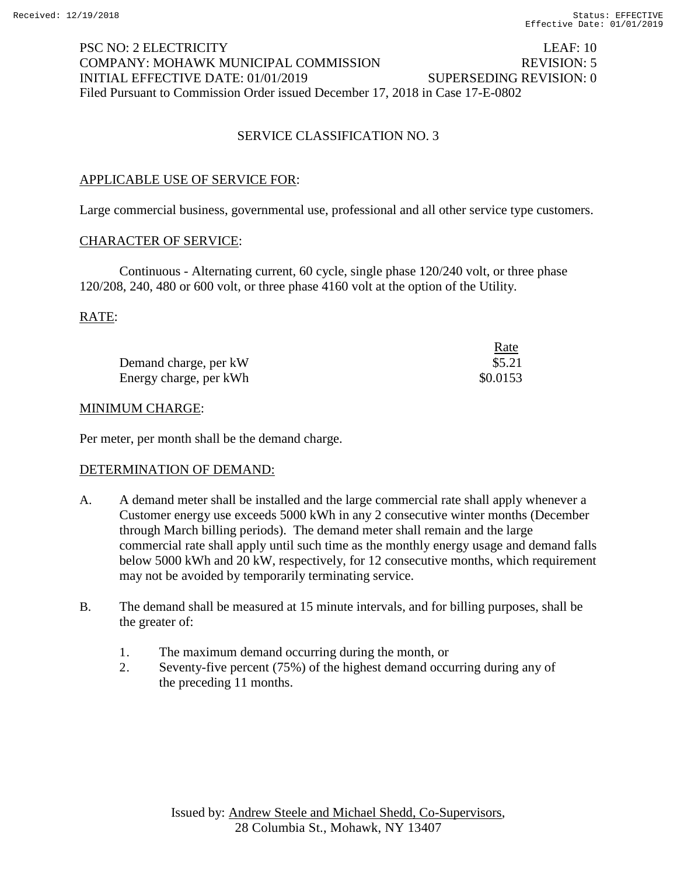## PSC NO: 2 ELECTRICITY LEAF: 10 COMPANY: MOHAWK MUNICIPAL COMMISSION REVISION: 5 INITIAL EFFECTIVE DATE: 01/01/2019 SUPERSEDING REVISION: 0 Filed Pursuant to Commission Order issued December 17, 2018 in Case 17-E-0802

## SERVICE CLASSIFICATION NO. 3

### APPLICABLE USE OF SERVICE FOR:

Large commercial business, governmental use, professional and all other service type customers.

#### CHARACTER OF SERVICE:

Continuous - Alternating current, 60 cycle, single phase 120/240 volt, or three phase 120/208, 240, 480 or 600 volt, or three phase 4160 volt at the option of the Utility.

RATE:

|                        | <u>Rate</u> |
|------------------------|-------------|
| Demand charge, per kW  | \$5.21      |
| Energy charge, per kWh | \$0.0153    |

#### MINIMUM CHARGE:

Per meter, per month shall be the demand charge.

#### DETERMINATION OF DEMAND:

- A. A demand meter shall be installed and the large commercial rate shall apply whenever a Customer energy use exceeds 5000 kWh in any 2 consecutive winter months (December through March billing periods). The demand meter shall remain and the large commercial rate shall apply until such time as the monthly energy usage and demand falls below 5000 kWh and 20 kW, respectively, for 12 consecutive months, which requirement may not be avoided by temporarily terminating service.
- B. The demand shall be measured at 15 minute intervals, and for billing purposes, shall be the greater of:
	- 1. The maximum demand occurring during the month, or
	- 2. Seventy-five percent (75%) of the highest demand occurring during any of the preceding 11 months.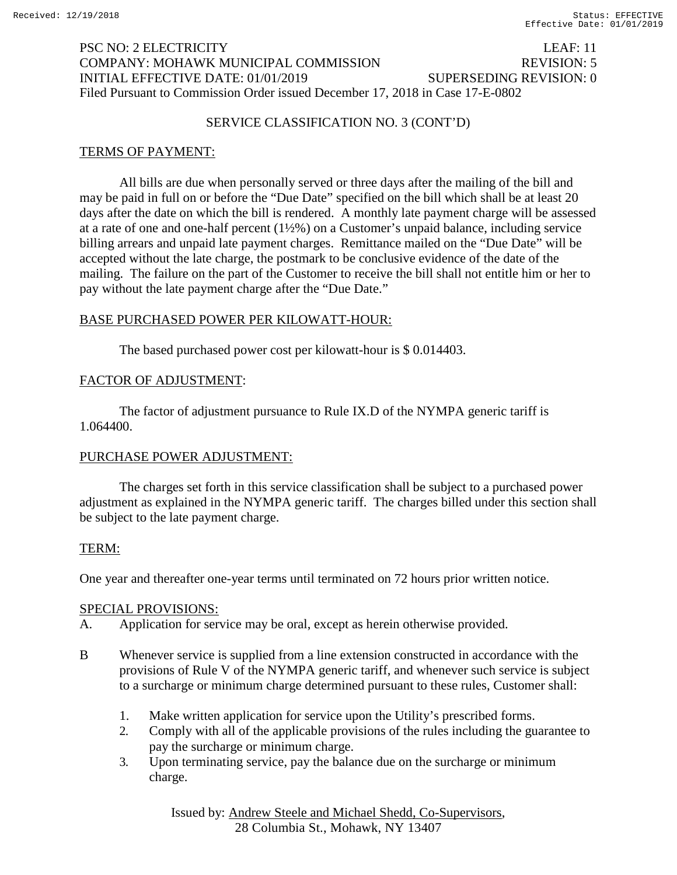## PSC NO: 2 ELECTRICITY LEAF: 11 COMPANY: MOHAWK MUNICIPAL COMMISSION REVISION: 5 INITIAL EFFECTIVE DATE: 01/01/2019 SUPERSEDING REVISION: 0 Filed Pursuant to Commission Order issued December 17, 2018 in Case 17-E-0802

### SERVICE CLASSIFICATION NO. 3 (CONT'D)

## TERMS OF PAYMENT:

All bills are due when personally served or three days after the mailing of the bill and may be paid in full on or before the "Due Date" specified on the bill which shall be at least 20 days after the date on which the bill is rendered. A monthly late payment charge will be assessed at a rate of one and one-half percent (1½%) on a Customer's unpaid balance, including service billing arrears and unpaid late payment charges. Remittance mailed on the "Due Date" will be accepted without the late charge, the postmark to be conclusive evidence of the date of the mailing. The failure on the part of the Customer to receive the bill shall not entitle him or her to pay without the late payment charge after the "Due Date."

## BASE PURCHASED POWER PER KILOWATT-HOUR:

The based purchased power cost per kilowatt-hour is \$ 0.014403.

## FACTOR OF ADJUSTMENT:

The factor of adjustment pursuance to Rule IX.D of the NYMPA generic tariff is 1.064400.

### PURCHASE POWER ADJUSTMENT:

The charges set forth in this service classification shall be subject to a purchased power adjustment as explained in the NYMPA generic tariff. The charges billed under this section shall be subject to the late payment charge.

### TERM:

One year and thereafter one-year terms until terminated on 72 hours prior written notice.

### SPECIAL PROVISIONS:

A. Application for service may be oral, except as herein otherwise provided.

- B Whenever service is supplied from a line extension constructed in accordance with the provisions of Rule V of the NYMPA generic tariff, and whenever such service is subject to a surcharge or minimum charge determined pursuant to these rules, Customer shall:
	- 1. Make written application for service upon the Utility's prescribed forms.
	- 2. Comply with all of the applicable provisions of the rules including the guarantee to pay the surcharge or minimum charge.
	- 3. Upon terminating service, pay the balance due on the surcharge or minimum charge.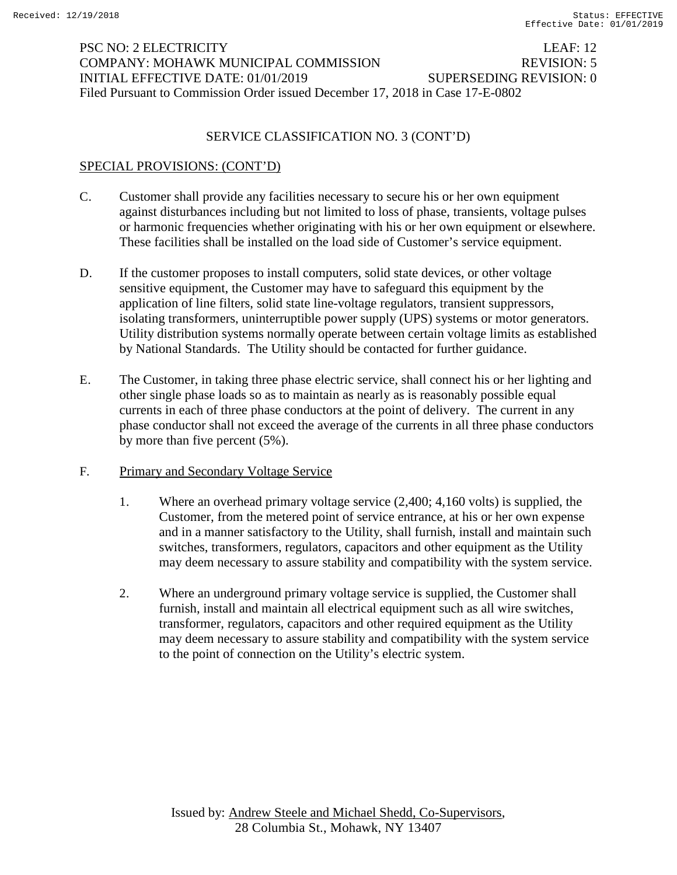## PSC NO: 2 ELECTRICITY LEAF: 12 COMPANY: MOHAWK MUNICIPAL COMMISSION REVISION: 5 INITIAL EFFECTIVE DATE: 01/01/2019 SUPERSEDING REVISION: 0 Filed Pursuant to Commission Order issued December 17, 2018 in Case 17-E-0802

### SERVICE CLASSIFICATION NO. 3 (CONT'D)

### SPECIAL PROVISIONS: (CONT'D)

- C. Customer shall provide any facilities necessary to secure his or her own equipment against disturbances including but not limited to loss of phase, transients, voltage pulses or harmonic frequencies whether originating with his or her own equipment or elsewhere. These facilities shall be installed on the load side of Customer's service equipment.
- D. If the customer proposes to install computers, solid state devices, or other voltage sensitive equipment, the Customer may have to safeguard this equipment by the application of line filters, solid state line-voltage regulators, transient suppressors, isolating transformers, uninterruptible power supply (UPS) systems or motor generators. Utility distribution systems normally operate between certain voltage limits as established by National Standards. The Utility should be contacted for further guidance.
- E. The Customer, in taking three phase electric service, shall connect his or her lighting and other single phase loads so as to maintain as nearly as is reasonably possible equal currents in each of three phase conductors at the point of delivery. The current in any phase conductor shall not exceed the average of the currents in all three phase conductors by more than five percent (5%).
- F. Primary and Secondary Voltage Service
	- 1. Where an overhead primary voltage service (2,400; 4,160 volts) is supplied, the Customer, from the metered point of service entrance, at his or her own expense and in a manner satisfactory to the Utility, shall furnish, install and maintain such switches, transformers, regulators, capacitors and other equipment as the Utility may deem necessary to assure stability and compatibility with the system service.
	- 2. Where an underground primary voltage service is supplied, the Customer shall furnish, install and maintain all electrical equipment such as all wire switches, transformer, regulators, capacitors and other required equipment as the Utility may deem necessary to assure stability and compatibility with the system service to the point of connection on the Utility's electric system.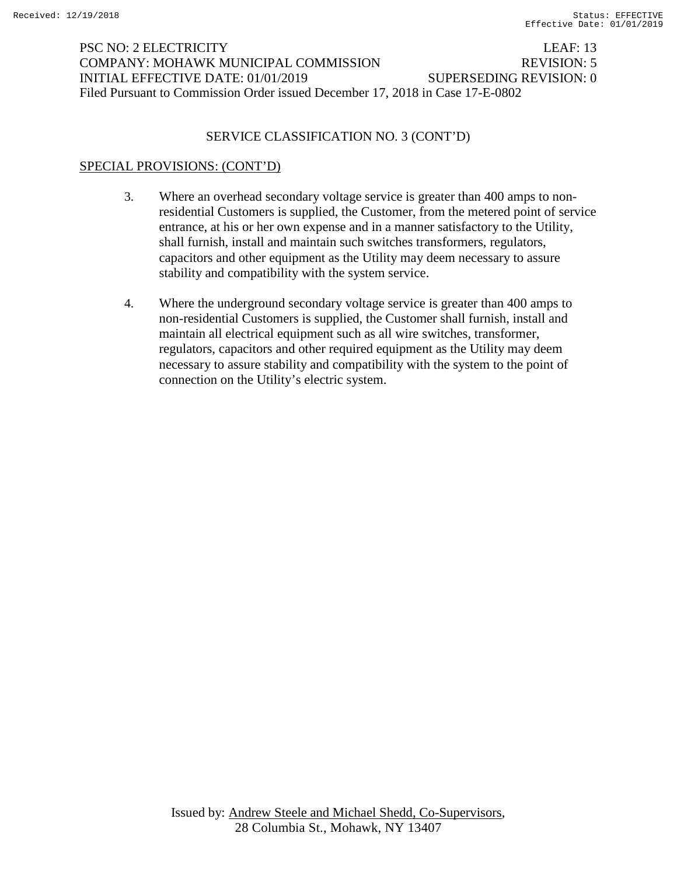# PSC NO: 2 ELECTRICITY LEAF: 13 COMPANY: MOHAWK MUNICIPAL COMMISSION REVISION: 5 INITIAL EFFECTIVE DATE: 01/01/2019 SUPERSEDING REVISION: 0 Filed Pursuant to Commission Order issued December 17, 2018 in Case 17-E-0802

### SERVICE CLASSIFICATION NO. 3 (CONT'D)

### SPECIAL PROVISIONS: (CONT'D)

- 3. Where an overhead secondary voltage service is greater than 400 amps to nonresidential Customers is supplied, the Customer, from the metered point of service entrance, at his or her own expense and in a manner satisfactory to the Utility, shall furnish, install and maintain such switches transformers, regulators, capacitors and other equipment as the Utility may deem necessary to assure stability and compatibility with the system service.
- 4. Where the underground secondary voltage service is greater than 400 amps to non-residential Customers is supplied, the Customer shall furnish, install and maintain all electrical equipment such as all wire switches, transformer, regulators, capacitors and other required equipment as the Utility may deem necessary to assure stability and compatibility with the system to the point of connection on the Utility's electric system.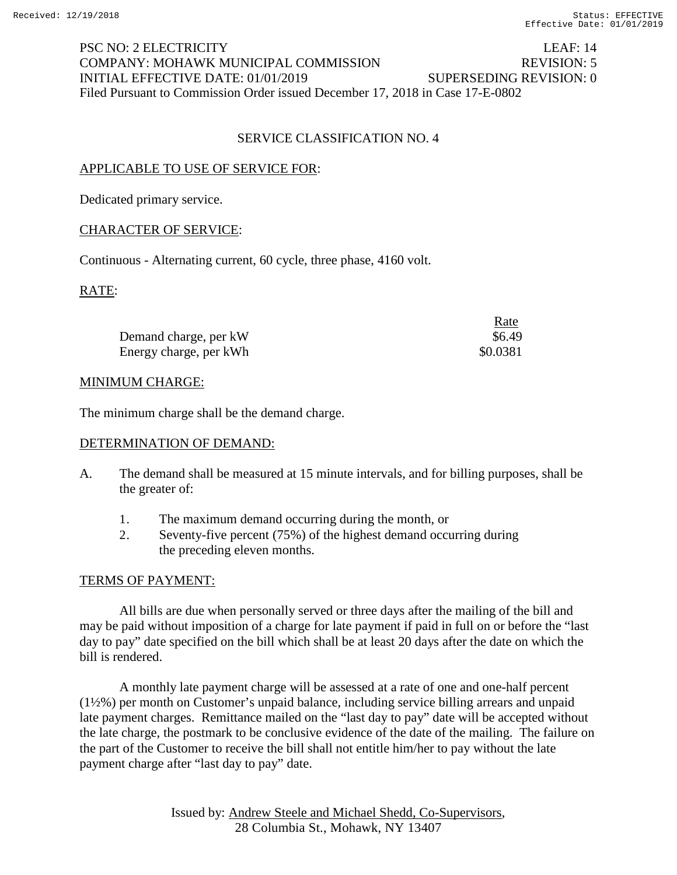# PSC NO: 2 ELECTRICITY LEAF: 14 COMPANY: MOHAWK MUNICIPAL COMMISSION REVISION: 5 INITIAL EFFECTIVE DATE: 01/01/2019 SUPERSEDING REVISION: 0 Filed Pursuant to Commission Order issued December 17, 2018 in Case 17-E-0802

### SERVICE CLASSIFICATION NO. 4

### APPLICABLE TO USE OF SERVICE FOR:

Dedicated primary service.

## CHARACTER OF SERVICE:

Continuous - Alternating current, 60 cycle, three phase, 4160 volt.

RATE:

|                        | Rate     |
|------------------------|----------|
| Demand charge, per kW  | \$6.49   |
| Energy charge, per kWh | \$0.0381 |

#### MINIMUM CHARGE:

The minimum charge shall be the demand charge.

#### DETERMINATION OF DEMAND:

- A. The demand shall be measured at 15 minute intervals, and for billing purposes, shall be the greater of:
	- 1. The maximum demand occurring during the month, or
	- 2. Seventy-five percent (75%) of the highest demand occurring during the preceding eleven months.

#### TERMS OF PAYMENT:

All bills are due when personally served or three days after the mailing of the bill and may be paid without imposition of a charge for late payment if paid in full on or before the "last day to pay" date specified on the bill which shall be at least 20 days after the date on which the bill is rendered.

A monthly late payment charge will be assessed at a rate of one and one-half percent (1½%) per month on Customer's unpaid balance, including service billing arrears and unpaid late payment charges. Remittance mailed on the "last day to pay" date will be accepted without the late charge, the postmark to be conclusive evidence of the date of the mailing. The failure on the part of the Customer to receive the bill shall not entitle him/her to pay without the late payment charge after "last day to pay" date.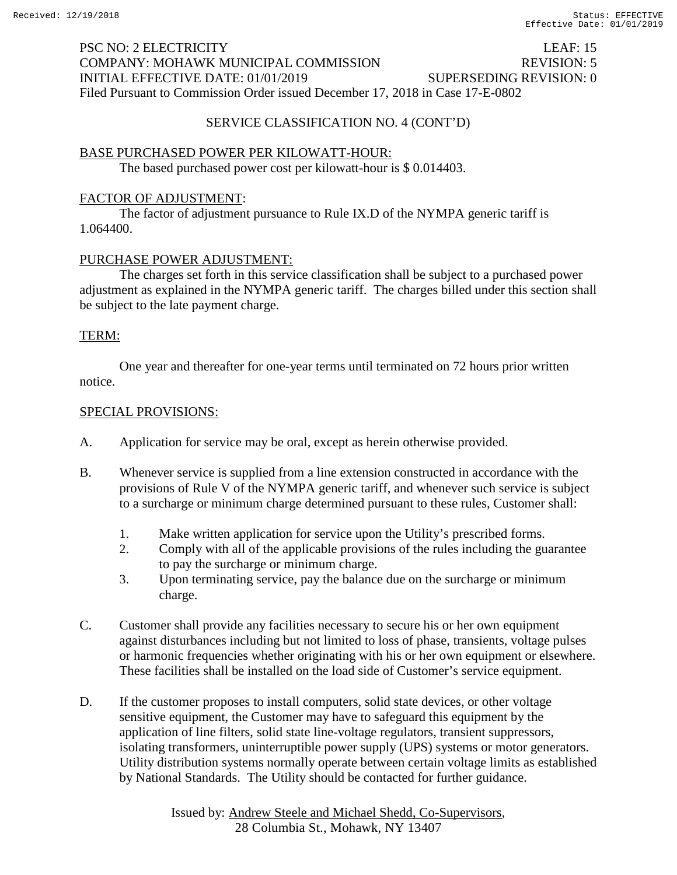# PSC NO: 2 ELECTRICITY LEAF: 15 COMPANY: MOHAWK MUNICIPAL COMMISSION REVISION: 5 INITIAL EFFECTIVE DATE: 01/01/2019 SUPERSEDING REVISION: 0 Filed Pursuant to Commission Order issued December 17, 2018 in Case 17-E-0802

### SERVICE CLASSIFICATION NO. 4 (CONT'D)

### BASE PURCHASED POWER PER KILOWATT-HOUR:

The based purchased power cost per kilowatt-hour is \$ 0.014403.

#### FACTOR OF ADJUSTMENT:

The factor of adjustment pursuance to Rule IX.D of the NYMPA generic tariff is 1.064400.

#### PURCHASE POWER ADJUSTMENT:

The charges set forth in this service classification shall be subject to a purchased power adjustment as explained in the NYMPA generic tariff. The charges billed under this section shall be subject to the late payment charge.

#### TERM:

One year and thereafter for one-year terms until terminated on 72 hours prior written notice.

- A. Application for service may be oral, except as herein otherwise provided.
- B. Whenever service is supplied from a line extension constructed in accordance with the provisions of Rule V of the NYMPA generic tariff, and whenever such service is subject to a surcharge or minimum charge determined pursuant to these rules, Customer shall:
	- 1. Make written application for service upon the Utility's prescribed forms.
	- 2. Comply with all of the applicable provisions of the rules including the guarantee to pay the surcharge or minimum charge.
	- 3. Upon terminating service, pay the balance due on the surcharge or minimum charge.
- C. Customer shall provide any facilities necessary to secure his or her own equipment against disturbances including but not limited to loss of phase, transients, voltage pulses or harmonic frequencies whether originating with his or her own equipment or elsewhere. These facilities shall be installed on the load side of Customer's service equipment.
- D. If the customer proposes to install computers, solid state devices, or other voltage sensitive equipment, the Customer may have to safeguard this equipment by the application of line filters, solid state line-voltage regulators, transient suppressors, isolating transformers, uninterruptible power supply (UPS) systems or motor generators. Utility distribution systems normally operate between certain voltage limits as established by National Standards. The Utility should be contacted for further guidance.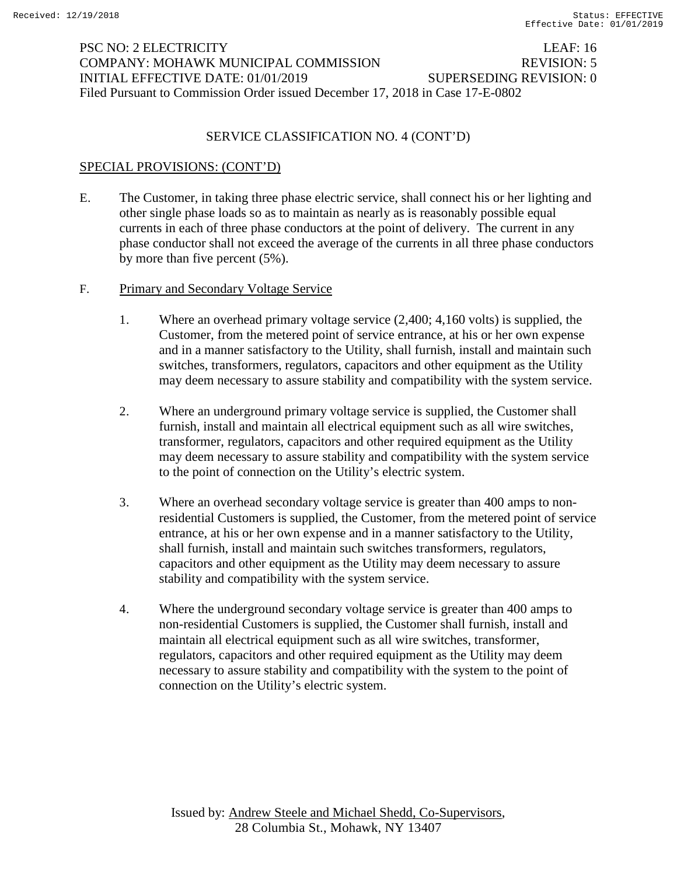## PSC NO: 2 ELECTRICITY LEAF: 16 COMPANY: MOHAWK MUNICIPAL COMMISSION REVISION: 5 INITIAL EFFECTIVE DATE: 01/01/2019 SUPERSEDING REVISION: 0 Filed Pursuant to Commission Order issued December 17, 2018 in Case 17-E-0802

### SERVICE CLASSIFICATION NO. 4 (CONT'D)

### SPECIAL PROVISIONS: (CONT'D)

- E. The Customer, in taking three phase electric service, shall connect his or her lighting and other single phase loads so as to maintain as nearly as is reasonably possible equal currents in each of three phase conductors at the point of delivery. The current in any phase conductor shall not exceed the average of the currents in all three phase conductors by more than five percent (5%).
- F. Primary and Secondary Voltage Service
	- 1. Where an overhead primary voltage service (2,400; 4,160 volts) is supplied, the Customer, from the metered point of service entrance, at his or her own expense and in a manner satisfactory to the Utility, shall furnish, install and maintain such switches, transformers, regulators, capacitors and other equipment as the Utility may deem necessary to assure stability and compatibility with the system service.
	- 2. Where an underground primary voltage service is supplied, the Customer shall furnish, install and maintain all electrical equipment such as all wire switches, transformer, regulators, capacitors and other required equipment as the Utility may deem necessary to assure stability and compatibility with the system service to the point of connection on the Utility's electric system.
	- 3. Where an overhead secondary voltage service is greater than 400 amps to nonresidential Customers is supplied, the Customer, from the metered point of service entrance, at his or her own expense and in a manner satisfactory to the Utility, shall furnish, install and maintain such switches transformers, regulators, capacitors and other equipment as the Utility may deem necessary to assure stability and compatibility with the system service.
	- 4. Where the underground secondary voltage service is greater than 400 amps to non-residential Customers is supplied, the Customer shall furnish, install and maintain all electrical equipment such as all wire switches, transformer, regulators, capacitors and other required equipment as the Utility may deem necessary to assure stability and compatibility with the system to the point of connection on the Utility's electric system.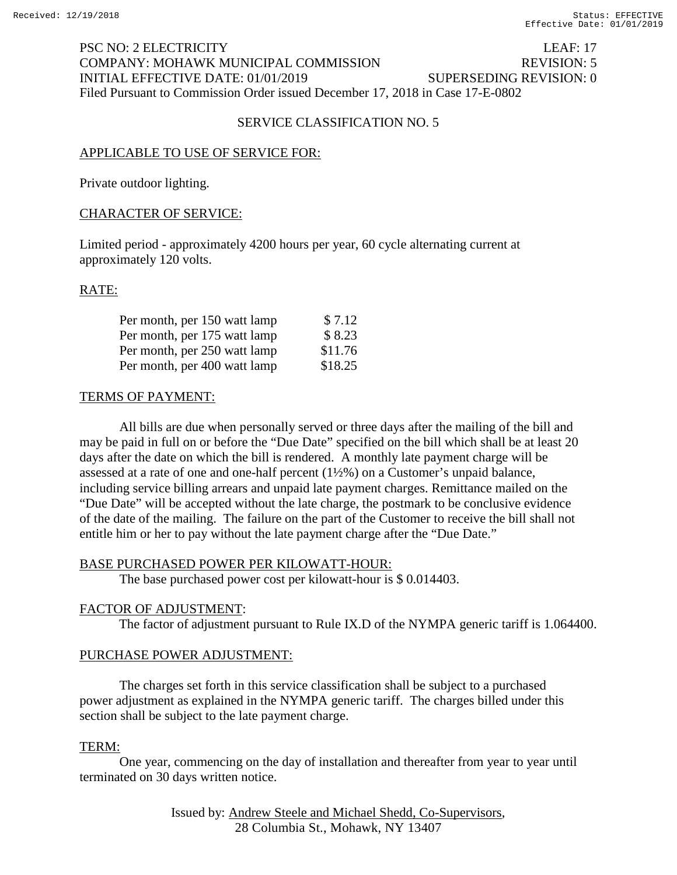## PSC NO: 2 ELECTRICITY LEAF: 17 COMPANY: MOHAWK MUNICIPAL COMMISSION REVISION: 5 INITIAL EFFECTIVE DATE: 01/01/2019 SUPERSEDING REVISION: 0 Filed Pursuant to Commission Order issued December 17, 2018 in Case 17-E-0802

### SERVICE CLASSIFICATION NO. 5

### APPLICABLE TO USE OF SERVICE FOR:

Private outdoor lighting.

#### CHARACTER OF SERVICE:

Limited period - approximately 4200 hours per year, 60 cycle alternating current at approximately 120 volts.

#### RATE:

| Per month, per 150 watt lamp | \$7.12  |
|------------------------------|---------|
| Per month, per 175 watt lamp | \$8.23  |
| Per month, per 250 watt lamp | \$11.76 |
| Per month, per 400 watt lamp | \$18.25 |

#### TERMS OF PAYMENT:

All bills are due when personally served or three days after the mailing of the bill and may be paid in full on or before the "Due Date" specified on the bill which shall be at least 20 days after the date on which the bill is rendered. A monthly late payment charge will be assessed at a rate of one and one-half percent (1½%) on a Customer's unpaid balance, including service billing arrears and unpaid late payment charges. Remittance mailed on the "Due Date" will be accepted without the late charge, the postmark to be conclusive evidence of the date of the mailing. The failure on the part of the Customer to receive the bill shall not entitle him or her to pay without the late payment charge after the "Due Date."

#### BASE PURCHASED POWER PER KILOWATT-HOUR:

The base purchased power cost per kilowatt-hour is \$ 0.014403.

#### FACTOR OF ADJUSTMENT:

The factor of adjustment pursuant to Rule IX.D of the NYMPA generic tariff is 1.064400.

#### PURCHASE POWER ADJUSTMENT:

The charges set forth in this service classification shall be subject to a purchased power adjustment as explained in the NYMPA generic tariff. The charges billed under this section shall be subject to the late payment charge.

#### TERM:

One year, commencing on the day of installation and thereafter from year to year until terminated on 30 days written notice.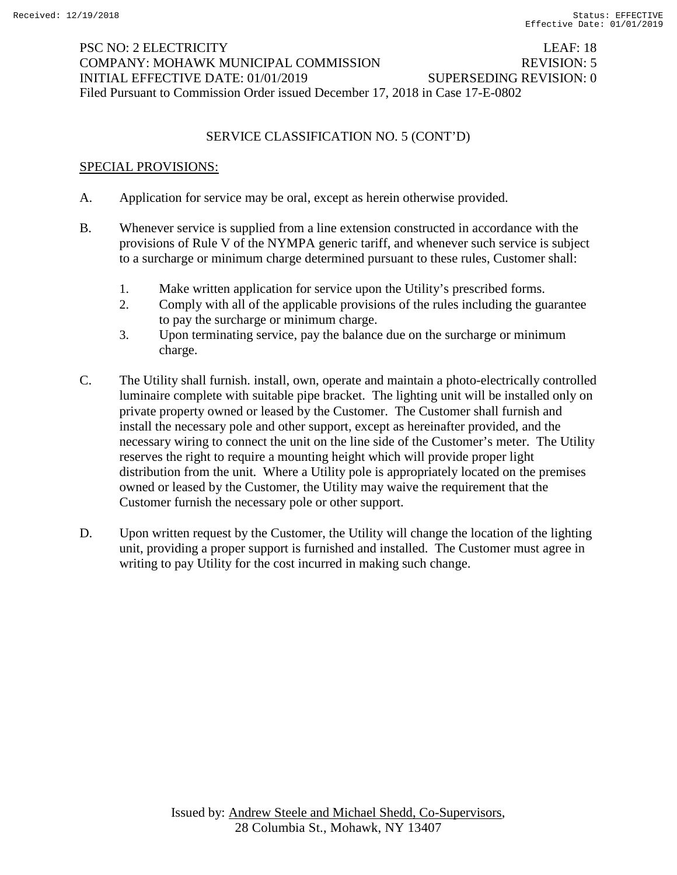# PSC NO: 2 ELECTRICITY LEAF: 18 COMPANY: MOHAWK MUNICIPAL COMMISSION REVISION: 5 INITIAL EFFECTIVE DATE: 01/01/2019 SUPERSEDING REVISION: 0 Filed Pursuant to Commission Order issued December 17, 2018 in Case 17-E-0802

## SERVICE CLASSIFICATION NO. 5 (CONT'D)

- A. Application for service may be oral, except as herein otherwise provided.
- B. Whenever service is supplied from a line extension constructed in accordance with the provisions of Rule V of the NYMPA generic tariff, and whenever such service is subject to a surcharge or minimum charge determined pursuant to these rules, Customer shall:
	- 1. Make written application for service upon the Utility's prescribed forms.
	- 2. Comply with all of the applicable provisions of the rules including the guarantee to pay the surcharge or minimum charge.
	- 3. Upon terminating service, pay the balance due on the surcharge or minimum charge.
- C. The Utility shall furnish. install, own, operate and maintain a photo-electrically controlled luminaire complete with suitable pipe bracket. The lighting unit will be installed only on private property owned or leased by the Customer. The Customer shall furnish and install the necessary pole and other support, except as hereinafter provided, and the necessary wiring to connect the unit on the line side of the Customer's meter. The Utility reserves the right to require a mounting height which will provide proper light distribution from the unit. Where a Utility pole is appropriately located on the premises owned or leased by the Customer, the Utility may waive the requirement that the Customer furnish the necessary pole or other support.
- D. Upon written request by the Customer, the Utility will change the location of the lighting unit, providing a proper support is furnished and installed. The Customer must agree in writing to pay Utility for the cost incurred in making such change.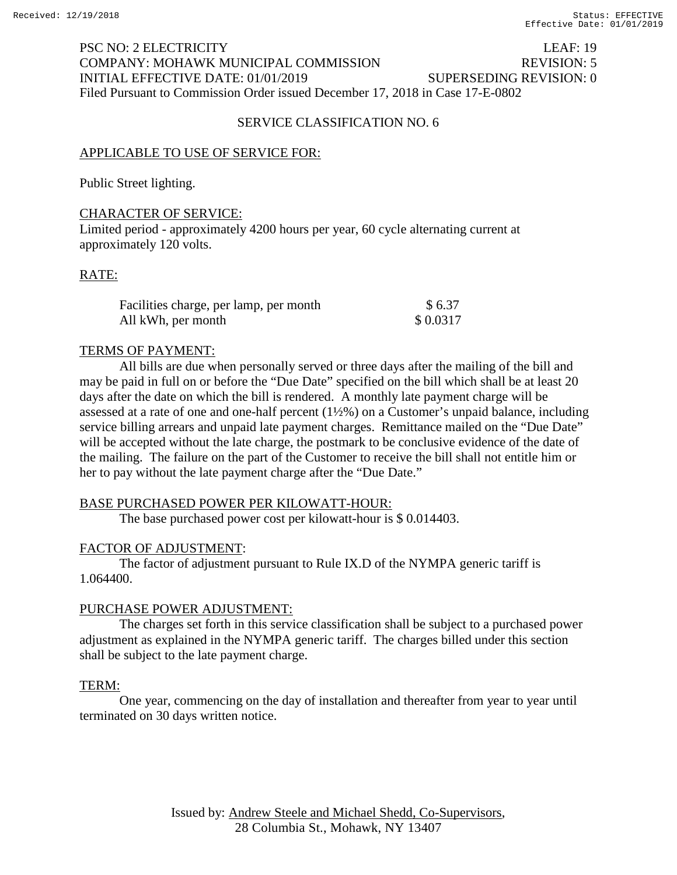## PSC NO: 2 ELECTRICITY LEAF: 19 COMPANY: MOHAWK MUNICIPAL COMMISSION REVISION: 5 INITIAL EFFECTIVE DATE: 01/01/2019 SUPERSEDING REVISION: 0 Filed Pursuant to Commission Order issued December 17, 2018 in Case 17-E-0802

#### SERVICE CLASSIFICATION NO. 6

#### APPLICABLE TO USE OF SERVICE FOR:

Public Street lighting.

#### CHARACTER OF SERVICE:

Limited period - approximately 4200 hours per year, 60 cycle alternating current at approximately 120 volts.

#### RATE:

| Facilities charge, per lamp, per month | \$6.37   |
|----------------------------------------|----------|
| All kWh, per month                     | \$0.0317 |

#### TERMS OF PAYMENT:

All bills are due when personally served or three days after the mailing of the bill and may be paid in full on or before the "Due Date" specified on the bill which shall be at least 20 days after the date on which the bill is rendered. A monthly late payment charge will be assessed at a rate of one and one-half percent (1½%) on a Customer's unpaid balance, including service billing arrears and unpaid late payment charges. Remittance mailed on the "Due Date" will be accepted without the late charge, the postmark to be conclusive evidence of the date of the mailing. The failure on the part of the Customer to receive the bill shall not entitle him or her to pay without the late payment charge after the "Due Date."

#### BASE PURCHASED POWER PER KILOWATT-HOUR:

The base purchased power cost per kilowatt-hour is \$ 0.014403.

#### FACTOR OF ADJUSTMENT:

The factor of adjustment pursuant to Rule IX.D of the NYMPA generic tariff is 1.064400.

#### PURCHASE POWER ADJUSTMENT:

The charges set forth in this service classification shall be subject to a purchased power adjustment as explained in the NYMPA generic tariff. The charges billed under this section shall be subject to the late payment charge.

#### TERM:

One year, commencing on the day of installation and thereafter from year to year until terminated on 30 days written notice.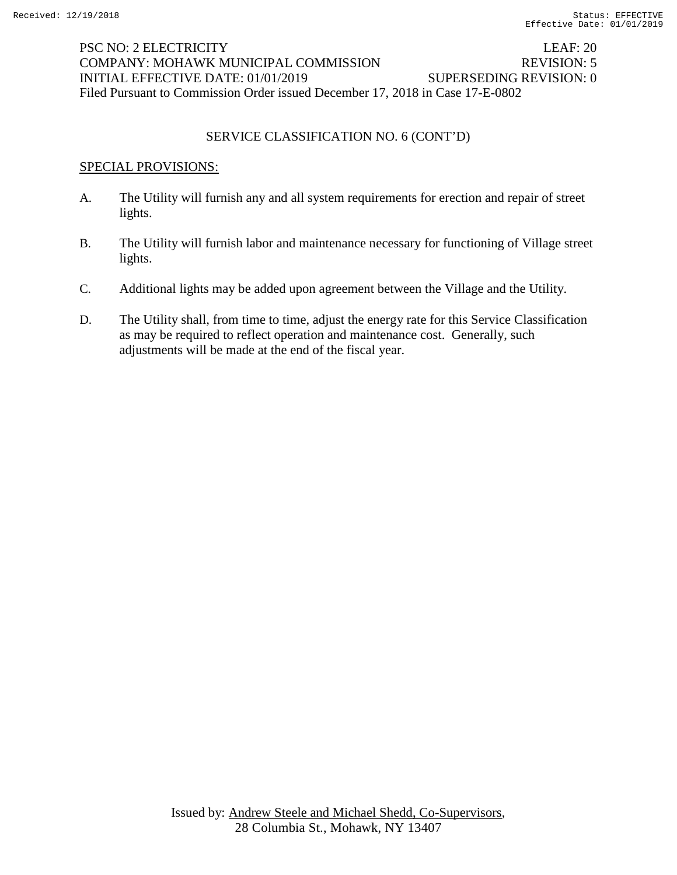## PSC NO: 2 ELECTRICITY LEAF: 20 COMPANY: MOHAWK MUNICIPAL COMMISSION REVISION: 5 INITIAL EFFECTIVE DATE: 01/01/2019 SUPERSEDING REVISION: 0 Filed Pursuant to Commission Order issued December 17, 2018 in Case 17-E-0802

## SERVICE CLASSIFICATION NO. 6 (CONT'D)

- A. The Utility will furnish any and all system requirements for erection and repair of street lights.
- B. The Utility will furnish labor and maintenance necessary for functioning of Village street lights.
- C. Additional lights may be added upon agreement between the Village and the Utility.
- D. The Utility shall, from time to time, adjust the energy rate for this Service Classification as may be required to reflect operation and maintenance cost. Generally, such adjustments will be made at the end of the fiscal year.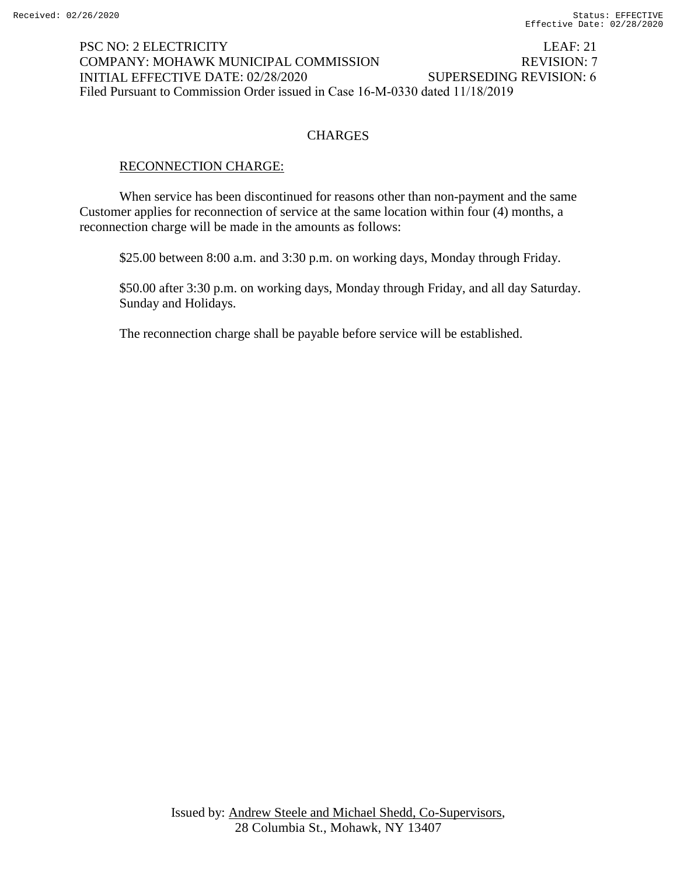#### LEAF: 21 REVISION: 7 PSC NO: 2 ELECTRICITY COMPANY: MOHAWK MUNICIPAL COMMISSION INITIAL EFFECTIVE DATE: 02/28/2020 SUPERSEDING REVISION: 6 Filed Pursuant to Commission Order issued in Case 16-M-0330 dated 11/18/2019

## **CHARGES**

#### RECONNECTION CHARGE:

When service has been discontinued for reasons other than non-payment and the same Customer applies for reconnection of service at the same location within four (4) months, a reconnection charge will be made in the amounts as follows:

\$25.00 between 8:00 a.m. and 3:30 p.m. on working days, Monday through Friday.

\$50.00 after 3:30 p.m. on working days, Monday through Friday, and all day Saturday. Sunday and Holidays.

The reconnection charge shall be payable before service will be established.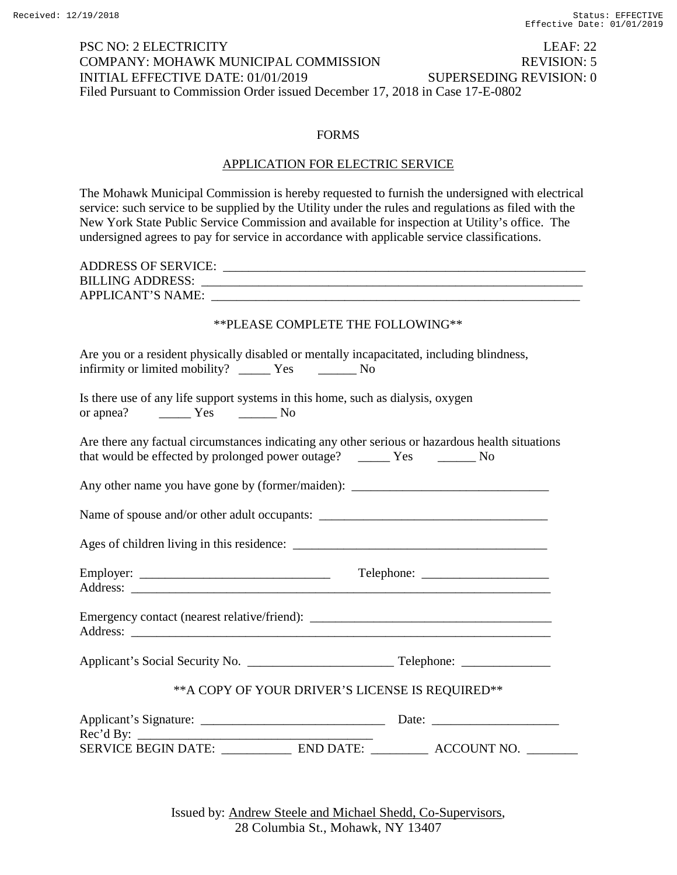## PSC NO: 2 ELECTRICITY LEAF: 22 COMPANY: MOHAWK MUNICIPAL COMMISSION REVISION: 5 INITIAL EFFECTIVE DATE: 01/01/2019 SUPERSEDING REVISION: 0 Filed Pursuant to Commission Order issued December 17, 2018 in Case 17-E-0802

#### FORMS

#### APPLICATION FOR ELECTRIC SERVICE

The Mohawk Municipal Commission is hereby requested to furnish the undersigned with electrical service: such service to be supplied by the Utility under the rules and regulations as filed with the New York State Public Service Commission and available for inspection at Utility's office. The undersigned agrees to pay for service in accordance with applicable service classifications.

| ** PLEASE COMPLETE THE FOLLOWING**                                                                                                                      |  |  |
|---------------------------------------------------------------------------------------------------------------------------------------------------------|--|--|
| Are you or a resident physically disabled or mentally incapacitated, including blindness,<br>infirmity or limited mobility? ________ Yes ___________ No |  |  |
| Is there use of any life support systems in this home, such as dialysis, oxygen                                                                         |  |  |
| Are there any factual circumstances indicating any other serious or hazardous health situations                                                         |  |  |
| Any other name you have gone by (former/maiden): ________________________________                                                                       |  |  |
|                                                                                                                                                         |  |  |
|                                                                                                                                                         |  |  |
|                                                                                                                                                         |  |  |
| Emergency contact (nearest relative/friend): ___________________________________                                                                        |  |  |
|                                                                                                                                                         |  |  |
| ** A COPY OF YOUR DRIVER'S LICENSE IS REQUIRED**                                                                                                        |  |  |
| Rec'd By:                                                                                                                                               |  |  |
| SERVICE BEGIN DATE: _______________ END DATE: ___________ ACCOUNT NO. _________                                                                         |  |  |